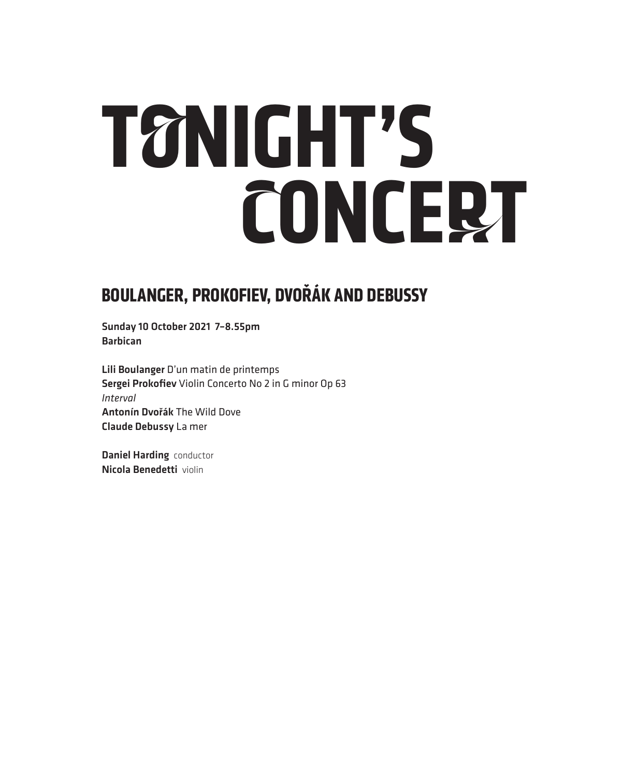# **TONIGHT'S CONCERT**

### **BOULANGER, PROKOFIEV, DVOŘÁK AND DEBUSSY**

Sunday 10 October 2021 7–8.55pm Barbican

Lili Boulanger D'un matin de printemps Sergei Prokofiev Violin Concerto No 2 in G minor Op 63 *Interval* Antonín Dvořák The Wild Dove Claude Debussy La mer

Daniel Harding conductor Nicola Benedetti violin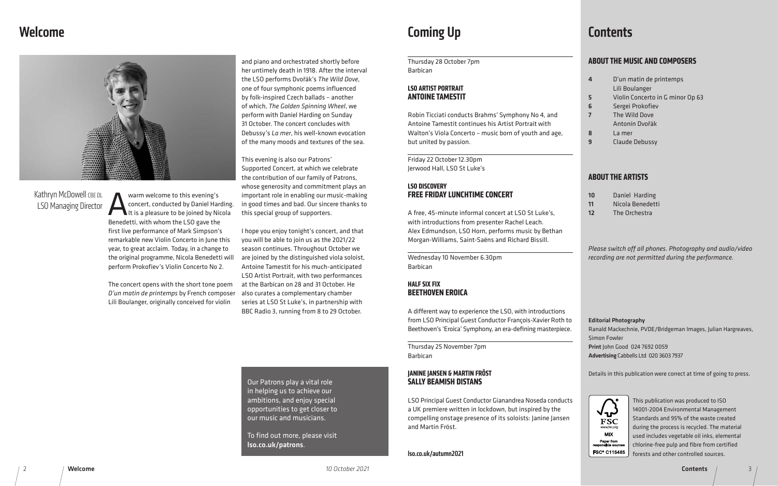3

### Welcome



and piano and orchestrated shortly before her untimely death in 1918. After the interval the LSO performs Dvořák's *The Wild Dove*, one of four symphonic poems influenced by folk-inspired Czech ballads – another of which, *The Golden Spinning Wheel*, we perform with Daniel Harding on Sunday 31 October. The concert concludes with Debussy's *La mer*, his well-known evocation of the many moods and textures of the sea.

This evening is also our Patrons' Supported Concert, at which we celebrate the contribution of our family of Patrons, whose generosity and commitment plays an important role in enabling our music-making in good times and bad. Our sincere thanks to this special group of supporters.

Warm welcome to this evening's<br>
concert, conducted by Daniel Har<br>
It is a pleasure to be joined by Ni concert, conducted by Daniel Harding. It is a pleasure to be joined by Nicola Benedetti, with whom the LSO gave the first live performance of Mark Simpson's remarkable new Violin Concerto in June this year, to great acclaim. Today, in a change to the original programme, Nicola Benedetti will perform Prokofiev's Violin Concerto No 2.

### Kathryn McDowell CBE DL LSO Managing Director

I hope you enjoy tonight's concert, and that you will be able to join us as the 2021/22 season continues. Throughout October we are joined by the distinguished viola soloist, Antoine Tamestit for his much-anticipated LSO Artist Portrait, with two performances at the Barbican on 28 and 31 October. He also curates a complementary chamber series at LSO St Luke's, in partnership with BBC Radio 3, running from 8 to 29 October.

The concert opens with the short tone poem *D'un matin de printemps* by French composer Lili Boulanger, originally conceived for violin

- un matin de printemps
- li Boulanger
- olin Concerto in G minor Op 63
- **rgei Prokofiev**
- **1e Wild Dove**
- ntonín Dvořák
- $Imer$
- aude Debussy

### **E ARTISTS**

### Coming Up

| Thursday 28 October 7pm<br><b>Barbican</b>                                                                                                                                                                                                                                                                                            | <b>ABOUT THE MUSIC AND COMPOSERS</b>                                                                                                                                                                                                                         |
|---------------------------------------------------------------------------------------------------------------------------------------------------------------------------------------------------------------------------------------------------------------------------------------------------------------------------------------|--------------------------------------------------------------------------------------------------------------------------------------------------------------------------------------------------------------------------------------------------------------|
| <b>LSO ARTIST PORTRAIT</b><br><b>ANTOINE TAMESTIT</b><br>Robin Ticciati conducts Brahms' Symphony No 4, and<br>Antoine Tamestit continues his Artist Portrait with<br>Walton's Viola Concerto - music born of youth and age,<br>but united by passion.                                                                                | D'un matin de printemps<br>4<br>Lili Boulanger<br>Violin Concerto in G minor Op 63<br>5<br>Sergei Prokofiev<br>6<br>The Wild Dove<br>$\overline{7}$<br>Antonín Dvořák<br>8<br>La mer<br>9<br><b>Claude Debussy</b>                                           |
| Friday 22 October 12.30pm<br>Jerwood Hall, LSO St Luke's                                                                                                                                                                                                                                                                              | <b>ABOUT THE ARTISTS</b>                                                                                                                                                                                                                                     |
| <b>LSO DISCOVERY</b><br><b>FREE FRIDAY LUNCHTIME CONCERT</b><br>A free, 45-minute informal concert at LSO St Luke's,<br>with introductions from presenter Rachel Leach.<br>Alex Edmundson, LSO Horn, performs music by Bethan<br>Morgan-Williams, Saint-Saëns and Richard Bissill.<br>Wednesday 10 November 6.30pm<br><b>Barbican</b> | Daniel Harding<br>10<br>Nicola Benedetti<br>11<br>The Orchestra<br>12<br>Please switch off all phones. Photography<br>recording are not permitted during the perf                                                                                            |
| <b>HALF SIX FIX</b><br><b>BEETHOVEN EROICA</b><br>A different way to experience the LSO, with introductions<br>from LSO Principal Guest Conductor François-Xavier Roth to                                                                                                                                                             | <b>Editorial Photography</b>                                                                                                                                                                                                                                 |
| Beethoven's 'Eroica' Symphony, an era-defining masterpiece.<br>Thursday 25 November 7pm<br><b>Barbican</b>                                                                                                                                                                                                                            | Ranald Mackechnie, PVDE/Bridgeman Images,<br><b>Simon Fowler</b><br>Print John Good 024 7692 0059<br>Advertising Cabbells Ltd 020 3603 7937                                                                                                                  |
| <b>JANINE JANSEN &amp; MARTIN FRÖST</b><br><b>SALLY BEAMISH DISTANS</b>                                                                                                                                                                                                                                                               | Details in this publication were correct at time                                                                                                                                                                                                             |
| LSO Principal Guest Conductor Gianandrea Noseda conducts<br>a UK premiere written in lockdown, but inspired by the<br>compelling onstage presence of its soloists: Janine Jansen<br>and Martin Fröst.                                                                                                                                 | This publication was produce<br>14001-2004 Environmental M<br>Standards and 95% of the wa<br>during the process is recycled.<br>www.fsc.org<br>МIХ<br>used includes vegetable oil in<br>Paper from<br>chlorine-free pulp and fibre fr<br>responsible sources |
| Iso.co.uk/autumn2021                                                                                                                                                                                                                                                                                                                  | FSC® C115465<br>forests and other controlled s<br><b>Contents</b>                                                                                                                                                                                            |

#### **JANINE JANSEN & MARTIN FRÖST SALLY BEAMISH DISTANS**

### **Contents**

*Please switch off all phones. Photography and audio/video recording are not permitted during the performance.*

This publication was produced to ISO 14001-2004 Environmental Management Standards and 95% of the waste created during the process is recycled. The material used includes vegetable oil inks, elemental chlorine-free pulp and fibre from certified forests and other controlled sources.



Ranald Mackechnie, PVDE/Bridgeman Images, Julian Hargreaves,

- Print John Good 024 7692 0059
- Advertising Cabbells Ltd 020 3603 7937

Details in this publication were correct at time of going to press.



Our Patrons play a vital role in helping us to achieve our ambitions, and enjoy special opportunities to get closer to our music and musicians.

To find out more, please visit lso.co.uk/patrons.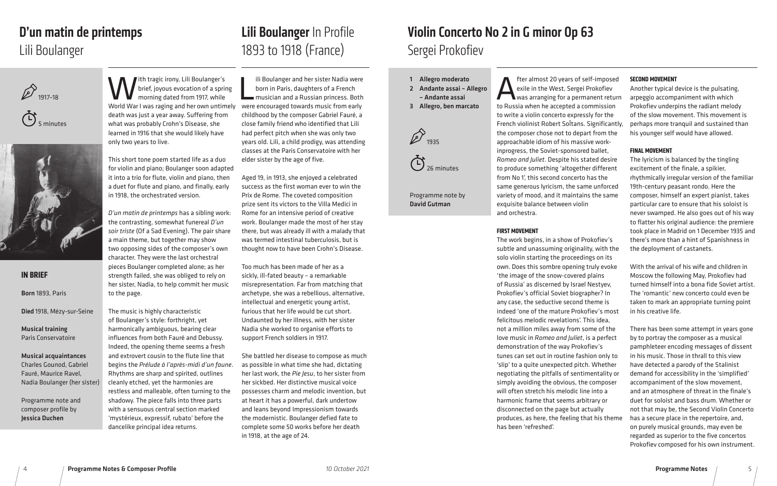### Violin Concerto No 2 in G minor Op 63 Sergei Prokofiev

| ied   | <b>SECOND MOVEMENT</b>                         |
|-------|------------------------------------------------|
|       | Another typical device is the pulsating,       |
| :urn  | arpeggio accompaniment with which              |
| 'n    | Prokofiev underpins the radiant melody         |
| e     | of the slow movement. This movement is         |
| ntly, | perhaps more tranquil and sustained than       |
| he    | his younger self would have allowed.           |
|       |                                                |
|       | <b>FINAL MOVEMENT</b>                          |
| re    | The lyricism is balanced by the tingling       |
| nt    | excitement of the finale, a spikier,           |
|       | rhythmically irregular version of the familiar |
| ed    | 19th-century peasant rondo. Here the           |
| ne    | composer, himself an expert pianist, takes     |
|       | particular care to ensure that his soloist is  |
|       | never swamped. He also goes out of his way     |
|       | to flatter his original audience: the premiere |
|       | took place in Madrid on 1 December 1935 and    |
|       | there's more than a hint of Spanishness in     |
| :he   | the deployment of castanets.                   |
|       |                                                |
| ke    | With the arrival of his wife and children in   |
|       | Moscow the following May, Prokofiev had        |

**Alter almost 20 years of self-imposed**<br>exile in the West, Sergei Prokofiev<br>to Bussia when he accepted a commission exile in the West, Sergei Prokofiev was arranging for a permanent return to Russia when he accepted a commissio to write a violin concerto expressly for the French violinist Robert SoÎtans. Significa the composer chose not to depart from th approachable idiom of his massive workinprogress, the Soviet-sponsored ballet, *Romeo and Juliet*. Despite his stated desi to produce something 'altogether differe from No 1', this second concerto has the same generous lyricism, the same unforc variety of mood, and it maintains the sar exquisite balance between violin and orchestra.

- turned himself into a bona fide Soviet artist. The 'romantic' new concerto could even be taken to mark an appropriate turning point in his creative life.
- There has been some attempt in years gone by to portray the composer as a musical pamphleteer encoding messages of dissent in his music. Those in thrall to this view have detected a parody of the Stalinist
- demand for accessibility in the 'simplified' accompaniment of the slow movement, and an atmosphere of threat in the finale's duet for soloist and bass drum. Whether or not that may be, the Second Violin Concerto
- has a secure place in the repertoire, and, on purely musical grounds, may even be regarded as superior to the five concertos Prokofiev composed for his own instrument.

Programme Notes / 5

 $\overline{\phantom{a}}$ ili Boulanger and her sister Nadia were born in Paris, daughters of a French musician and a Russian princess. Both were encouraged towards music from early childhood by the composer Gabriel Fauré, a close family friend who identified that Lili had perfect pitch when she was only two years old. Lili, a child prodigy, was attending classes at the Paris Conservatoire with her elder sister by the age of five.

#### **FIRST MOVEMENT**

1893 to 1918 (France) Lili Boulanger In Profile

> The work begins, in a show of Prokofiev's subtle and unassuming originality, with t solo violin starting the proceedings on its own. Does this sombre opening truly evol 'the image of the snow-covered plains of Russia' as discerned by Israel Nestyev, Prokofiev's official Soviet biographer? In any case, the seductive second theme is indeed 'one of the mature Prokofiev's most felicitous melodic revelations'. This idea, not a million miles away from some of the love music in *Romeo and Juliet*, is a perfect demonstration of the way Prokofiev's tunes can set out in routine fashion only to 'slip' to a quite unexpected pitch. Whether negotiating the pitfalls of sentimentality or simply avoiding the obvious, the composer will often stretch his melodic line into a harmonic frame that seems arbitrary or disconnected on the page but actually produces, as here, the feeling that his theme has been 'refreshed'.

Ith tragic irony, Lili Boulanger's brief, joyous evocation of a spring morning dated from 1917, while World War I was raging and her own untimely death was just a year away. Suffering from what was probably Crohn's Disease, she learned in 1916 that she would likely have only two years to live.

- 1 Allegro moderato
- 2 Andante assai Allegro
- Andante assai
- 3 Allegro, ben marcato



 $\ddot{C}$ <sub>26 minute</sub>

Programme note by David Gutman

4

Aged 19, in 1913, she enjoyed a celebrated success as the first woman ever to win the Prix de Rome. The coveted composition prize sent its victors to the Villa Medici in Rome for an intensive period of creative work. Boulanger made the most of her stay there, but was already ill with a malady that was termed intestinal tuberculosis, but is thought now to have been Crohn's Disease.

Too much has been made of her as a sickly, ill-fated beauty – a remarkable misrepresentation. Far from matching that archetype, she was a rebellious, alternative, intellectual and energetic young artist, furious that her life would be cut short. Undaunted by her illness, with her sister Nadia she worked to organise efforts to support French soldiers in 1917.

She battled her disease to compose as much as possible in what time she had, dictating her last work, the *Pie Jesu*, to her sister from her sickbed. Her distinctive musical voice possesses charm and melodic invention, but at heart it has a powerful, dark undertow and leans beyond Impressionism towards the modernistic. Boulanger defied fate to complete some 50 works before her death in 1918, at the age of 24.

### **IN BRIEF**

Born 1893, Paris

Died 1918, Mézy-sur-Seine

Musical training Paris Conservatoire

Musical acquaintances Charles Gounod, Gabriel Fauré, Maurice Ravel, Nadia Boulanger (her sister)

Programme note and composer profile by Jessica Duchen

This short tone poem started life as a duo for violin and piano; Boulanger soon adapted it into a trio for flute, violin and piano, then a duet for flute and piano, and finally, early in 1918, the orchestrated version.

*D'un matin de printemps* has a sibling work: the contrasting, somewhat funereal *D'un soir triste* (Of a Sad Evening). The pair share a main theme, but together may show two opposing sides of the composer's own character. They were the last orchestral pieces Boulanger completed alone; as her strength failed, she was obliged to rely on her sister, Nadia, to help commit her music to the page.

The music is highly characteristic of Boulanger's style: forthright, yet harmonically ambiguous, bearing clear influences from both Fauré and Debussy. Indeed, the opening theme seems a fresh and extrovert cousin to the flute line that begins the *Prélude à l'après-midi d'un faune*. Rhythms are sharp and spirited, outlines cleanly etched, yet the harmonies are restless and malleable, often turning to the shadowy. The piece falls into three parts with a sensuous central section marked 'mystérieux, expressif, rubato' before the dancelike principal idea returns.







# D'un matin de printemps

### Lili Boulanger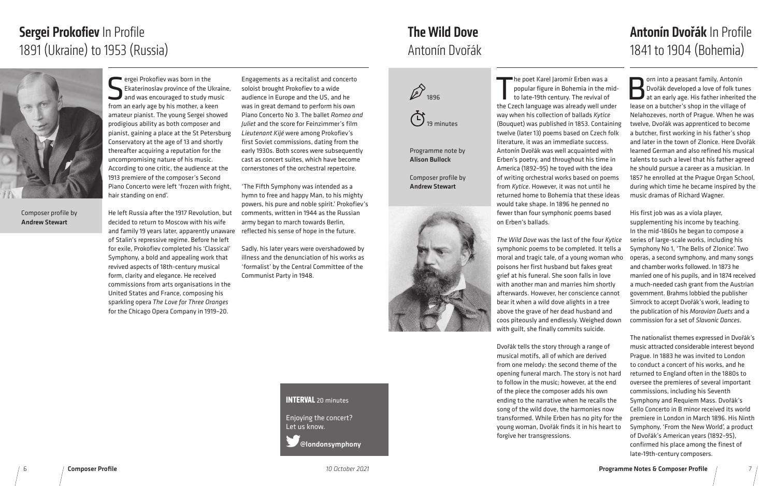# Sergei Prokofiev In Profile 1891 (Ukraine) to 1953 (Russia)

Engagements as a recitalist and concerto soloist brought Prokofiev to a wide audience in Europe and the US, and he was in great demand to perform his own Piano Concerto No 3. The ballet *Romeo and Juliet* and the score for Feinzimmer's film *Lieutenant Kijé* were among Prokofiev's first Soviet commissions, dating from the early 1930s. Both scores were subsequently cast as concert suites, which have become cornerstones of the orchestral repertoire.

'The Fifth Symphony was intended as a hymn to free and happy Man, to his mighty powers, his pure and noble spirit.' Prokofiev's comments, written in 1944 as the Russian army began to march towards Berlin, reflected his sense of hope in the future.

Sergei Prokofiev was born in the<br>Ekaterinoslav province of the U<br>and was encouraged to study m<br>from an early age by his mother a keep Ekaterinoslav province of the Ukraine, and was encouraged to study music from an early age by his mother, a keen amateur pianist. The young Sergei showed prodigious ability as both composer and pianist, gaining a place at the St Petersburg Conservatory at the age of 13 and shortly thereafter acquiring a reputation for the uncompromising nature of his music. According to one critic, the audience at the 1913 premiere of the composer's Second Piano Concerto were left 'frozen with fright, hair standing on end'.

> Sadly, his later years were overshadowed by illness and the denunciation of his works as 'formalist' by the Central Committee of the Communist Party in 1948.

The poet Karel Jaromír Erben was a<br>popular figure in Bohemia in the mid-<br>to late-19th century. The revival of<br>the Czech language was already well under he poet Karel Jaromír Erben was a popular figure in Bohemia in the midto late-19th century. The revival of way when his collection of ballads *Kytice*  (Bouquet) was published in 1853. Containin twelve (later 13) poems based on Czech folk literature, it was an immediate success. Antonín Dvořák was well acquainted with Erben's poetry, and throughout his time in America (1892–95) he toyed with the idea of writing orchestral works based on poems from *Kytice*. However, it was not until he returned home to Bohemia that these idea would take shape. In 1896 he penned no fewer than four symphonic poems based on Erben's ballads.

**The Wild Dove was the last of the four Kytic** symphonic poems to be completed. It tells moral and tragic tale, of a young woman wh poisons her first husband but fakes great grief at his funeral. She soon falls in love with another man and marries him shortly afterwards. However, her conscience cannot bear it when a wild dove alights in a tree above the grave of her dead husband and coos piteously and endlessly. Weighed dow with guilt, she finally commits suicide.

He left Russia after the 1917 Revolution, but decided to return to Moscow with his wife and family 19 years later, apparently unaware of Stalin's repressive regime. Before he left for exile, Prokofiev completed his 'Classical' Symphony, a bold and appealing work that revived aspects of 18th-century musical form, clarity and elegance. He received commissions from arts organisations in the United States and France, composing his sparkling opera *The Love for Three Oranges*  for the Chicago Opera Company in 1919–20.

Composer profile by Andrew Stewart

### **INTERVAL** 20 minutes

Enjoying the concert? Let us know.

@londonsymphony

Dvořák tells the story through a range of musical motifs, all of which are derived from one melody: the second theme of the opening funeral march. The story is not har to follow in the music; however, at the end of the piece the composer adds his own ending to the narrative when he recalls the song of the wild dove, the harmonies now transformed. While Erben has no pity for th young woman, Dvořák finds it in his heart t forgive her transgressions.





Programme note by Alison Bullock

Composer profile by Andrew Stewart



# Antonín Dvořák The Wild Dove



| ıg<br>¢<br>5<br>S | orn into a peasant family, Antonín<br>Dvořák developed a love of folk tunes<br>at an early age. His father inherited the<br>lease on a butcher's shop in the village of<br>Nelahozeves, north of Prague. When he was<br>twelve, Dvořák was apprenticed to become<br>a butcher, first working in his father's shop<br>and later in the town of Zlonice. Here Dvořák<br>learned German and also refined his musical<br>talents to such a level that his father agreed<br>he should pursue a career as a musician. In<br>1857 he enrolled at the Prague Organ School,<br>during which time he became inspired by the<br>music dramas of Richard Wagner. |
|-------------------|------------------------------------------------------------------------------------------------------------------------------------------------------------------------------------------------------------------------------------------------------------------------------------------------------------------------------------------------------------------------------------------------------------------------------------------------------------------------------------------------------------------------------------------------------------------------------------------------------------------------------------------------------|
| cе<br>a<br>ho     | His first job was as a viola player,<br>supplementing his income by teaching.<br>In the mid-1860s he began to compose a<br>series of large-scale works, including his<br>Symphony No 1, 'The Bells of Zlonice'. Two<br>operas, a second symphony, and many songs                                                                                                                                                                                                                                                                                                                                                                                     |
|                   | and chamber works followed. In 1873 he<br>married one of his pupils, and in 1874 received<br>a much-needed cash grant from the Austrian                                                                                                                                                                                                                                                                                                                                                                                                                                                                                                              |
| t<br>m            | government. Brahms lobbied the publisher<br>Simrock to accept Dvořák's work, leading to<br>the publication of his Moravian Duets and a<br>commission for a set of Slavonic Dances.                                                                                                                                                                                                                                                                                                                                                                                                                                                                   |
|                   | The nationalist themes expressed in Dvořák's<br>music attracted considerable interest beyond<br>Prague. In 1883 he was invited to London<br>to conduct a concert of his works, and he                                                                                                                                                                                                                                                                                                                                                                                                                                                                |
| ά                 | returned to England often in the 1880s to<br>oversee the premieres of several important<br>commissions, including his Seventh<br>Symphony and Requiem Mass. Dvořák's<br>Cello Concerto in B minor received its world                                                                                                                                                                                                                                                                                                                                                                                                                                 |
| ٦e<br>O.          | premiere in London in March 1896. His Ninth<br>Symphony, 'From the New World', a product<br>of Dvořák's American years (1892-95),<br>confirmed his place among the finest of<br>late-19th-century composers.                                                                                                                                                                                                                                                                                                                                                                                                                                         |

# Antonín Dvořák In Profile 1841 to 1904 (Bohemia)

#### Programme Notes & Composer Profile 7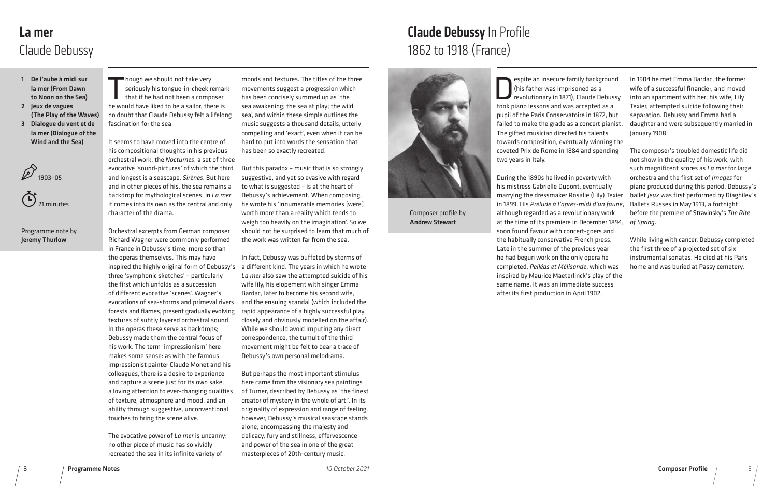# Claude Debussy In Profile 1862 to 1918 (France)



| I   | In 1904 he met Emma Bardac, the former<br>wife of a successful financier, and moved     |
|-----|-----------------------------------------------------------------------------------------|
| ;y  | into an apartment with her; his wife, Lily<br>Texier, attempted suicide following their |
| t   | separation. Debussy and Emma had a                                                      |
| st. | daughter and were subsequently married in<br>January 1908.                              |
| he  |                                                                                         |
| 3   | The composer's troubled domestic life did<br>not show in the quality of his work, with  |
|     | such magnificent scores as La mer for large                                             |
|     | orchestra and the first set of Images for                                               |
|     | piano produced during this period. Debussy's                                            |
| ier | ballet Jeux was first performed by Diaghilev's                                          |
| ne. | Ballets Russes in May 1913, a fortnight                                                 |
|     | before the premiere of Stravinsky's The Rite                                            |
| Э4, | of Spring.                                                                              |
|     | While living with cancer, Debussy completed                                             |
|     | the first three of a projected set of six                                               |
|     | instrumental sonatas. He died at his Paris                                              |
| Ś   | home and was buried at Passy cemetery.                                                  |
| ٦e  |                                                                                         |

espite an insecure family background (his father was imprisoned as a revolutionary in 1871), Claude Debuss took piano lessons and was accepted as a pupil of the Paris Conservatoire in 1872, but failed to make the grade as a concert pianis The gifted musician directed his talents towards composition, eventually winning th coveted Prix de Rome in 1884 and spending two years in Italy.

During the 1890s he lived in poverty with his mistress Gabrielle Dupont, eventually marrying the dressmaker Rosalie (Lily) Texi in 1899. His Prélude à l'après-midi d'un faur although regarded as a revolutionary work at the time of its premiere in December 189 soon found favour with concert-goers and the habitually conservative French press. Late in the summer of the previous year he had begun work on the only opera he completed, *Pelléas et Mélisande*, which was inspired by Maurice Maeterlinck's play of th same name. It was an immediate success after its first production in April 1902.

- 1 De l'aube à midi sur la mer (From Dawn to Noon on the Sea)
- 2 Jeux de vagues (The Play of the Waves) 3 Dialogue du vent et de la mer (Dialogue of the Wind and the Sea)

hough we should not take very<br>seriously his tongue-in-cheek re<br>that if he had not been a complex<br>he would have liked to be a sailor, the seriously his tongue-in-cheek remark that if he had not been a composer he would have liked to be a sailor, there is no doubt that Claude Debussy felt a lifelong fascination for the sea.





#### Programme note by Jeremy Thurlow

### La mer Claude Debussy

moods and textures. The titles of the three movements suggest a progression which has been concisely summed up as 'the sea awakening; the sea at play; the wild sea', and within these simple outlines the music suggests a thousand details, utterly compelling and 'exact', even when it can be hard to put into words the sensation that has been so exactly recreated.

But this paradox – music that is so strongly suggestive, and yet so evasive with regard to what is suggested – is at the heart of Debussy's achievement. When composing, he wrote his 'innumerable memories [were] worth more than a reality which tends to weigh too heavily on the imagination'. So we should not be surprised to learn that much of the work was written far from the sea.

In fact, Debussy was buffeted by storms of inspired the highly original form of Debussy's a different kind. The years in which he wrote *La mer* also saw the attempted suicide of his wife lily, his elopement with singer Emma Bardac, later to become his second wife, and the ensuing scandal (which included the rapid appearance of a highly successful play, closely and obviously modelled on the affair). While we should avoid imputing any direct correspondence, the tumult of the third movement might be felt to bear a trace of Debussy's own personal melodrama.

> But perhaps the most important stimulus here came from the visionary sea paintings of Turner, described by Debussy as 'the finest creator of mystery in the whole of art!'. In its originality of expression and range of feeling, however, Debussy's musical seascape stands alone, encompassing the majesty and delicacy, fury and stillness, effervescence and power of the sea in one of the great masterpieces of 20th-century music.

It seems to have moved into the centre of his compositional thoughts in his previous orchestral work, the *Nocturnes*, a set of three evocative 'sound-pictures' of which the third and longest is a seascape, *Sirènes*. But here and in other pieces of his, the sea remains a backdrop for mythological scenes; in *La mer* it comes into its own as the central and only character of the drama.

Orchestral excerpts from German composer Richard Wagner were commonly performed in France in Debussy's time, more so than the operas themselves. This may have three 'symphonic sketches' – particularly the first which unfolds as a succession of different evocative 'scenes'. Wagner's evocations of sea-storms and primeval rivers, forests and flames, present gradually evolving textures of subtly layered orchestral sound. In the operas these serve as backdrops; Debussy made them the central focus of his work. The term 'impressionism' here makes some sense: as with the famous impressionist painter Claude Monet and his colleagues, there is a desire to experience and capture a scene just for its own sake, a loving attention to ever-changing qualities of texture, atmosphere and mood, and an ability through suggestive, unconventional touches to bring the scene alive.

The evocative power of *La mer* is uncanny: no other piece of music has so vividly recreated the sea in its infinite variety of

Composer profile by Andrew Stewart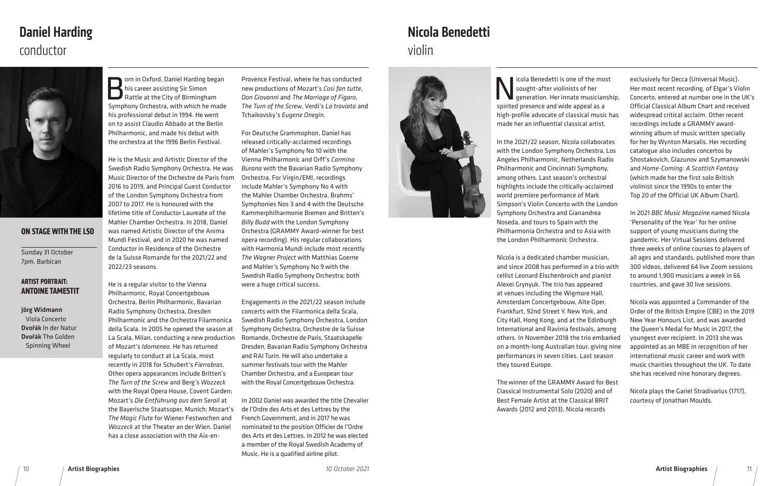Icola Benedetti is one of the most<br>sought-after violinists of her<br>spirited presence and wide appeal as a sought-after violinists of her generation. Her innate musicianship, spirited presence and wide appeal as a high-profile advocate of classical music has made her an influential classical artist.

In the 2021/22 season, Nicola collaborates with the London Symphony Orchestra, Los Angeles Philharmonic, Netherlands Radio Philharmonic and Cincinnati Symphony, among others. Last season's orchestral highlights include the critically-acclaimed world premiere performance of Mark Simpson's Violin Concerto with the London Symphony Orchestra and Gianandrea Noseda, and tours to Spain with the Philharmonia Orchestra and to Asia with the London Philharmonic Orchestra.

Nicola is a dedicated chamber musician, and since 2008 has performed in a trio with cellist Leonard Elschenbroich and pianist Alexei Grynyuk. The trio has appeared at venues including the Wigmore Hall, Amsterdam Concertgebouw, Alte Oper, Frankfurt, 92nd Street Y, New York, and City Hall, Hong Kong, and at the Edinburgh International and Ravinia festivals, among others. In November 2018 the trio embarke on a month-long Australian tour, giving nin performances in seven cities. Last season they toured Europe.

The winner of the GRAMMY Award for Best Classical Instrumental Solo (2020) and of Best Female Artist at the Classical BRIT Awards (2012 and 2013), Nicola records

orn in Oxford, Daniel Harding began his career assisting Sir Simon Rattle at the City of Birmingham Symphony Orchestra, with which he made his professional debut in 1994. He went on to assist Claudio Abbado at the Berlin Philharmonic, and made his debut with the orchestra at the 1996 Berlin Festival.

|    | exclusively for Decca (Universal Music).<br>Her most recent recording, of Elgar's Violin   |
|----|--------------------------------------------------------------------------------------------|
| ), | Concerto, entered at number one in the UK's<br>Official Classical Album Chart and received |
| 5  | widespread critical acclaim. Other recent                                                  |
|    | recordings include a GRAMMY award-                                                         |
|    | winning album of music written specially<br>for her by Wynton Marsalis. Her recording      |
|    | catalogue also includes concertos by                                                       |
|    | Shostakovich, Glazunov and Szymanowski                                                     |
|    | and Home-Coming: A Scottish Fantasy                                                        |
|    | (which made her the first solo British<br>violinist since the 1990s to enter the           |
|    | Top 20 of the Official UK Album Chart).                                                    |
|    |                                                                                            |
|    | In 2021 BBC Music Magazine named Nicola                                                    |
|    | 'Personality of the Year' for her online<br>support of young musicians during the          |
|    | pandemic. Her Virtual Sessions delivered                                                   |
|    | three weeks of online courses to players of                                                |
|    | all ages and standards, published more than                                                |
|    | 300 videos, delivered 64 live Zoom sessions<br>to around 1,900 musicians a week in 66      |
|    | countries, and gave 30 live sessions.                                                      |
|    |                                                                                            |
|    | Nicola was appointed a Commander of the                                                    |
|    | Order of the British Empire (CBE) in the 2019<br>New Year Honours List, and was awarded    |
|    | the Queen's Medal for Music in 2017, the                                                   |
| d  | youngest ever recipient. In 2013 she was                                                   |
| Ιe | appointed as an MBE in recognition of her                                                  |
|    | international music career and work with<br>music charities throughout the UK. To date     |
|    | she has received nine honorary degrees.                                                    |
| t  |                                                                                            |
|    | Nicola plays the Gariel Stradivarius (1717),                                               |
|    | courtesy of Jonathan Moulds.                                                               |

He is the Music and Artistic Director of the Swedish Radio Symphony Orchestra. He was Music Director of the Orchestre de Paris from 2016 to 2019, and Principal Guest Conductor of the London Symphony Orchestra from 2007 to 2017. He is honoured with the lifetime title of Conductor Laureate of the Mahler Chamber Orchestra. In 2018, Daniel was named Artistic Director of the Anima Mundi Festival, and in 2020 he was named Conductor in Residence of the Orchestre de la Suisse Romande for the 2021/22 and 2022/23 seasons.

He is a regular visitor to the Vienna Philharmonic, Royal Concertgebouw Orchestra, Berlin Philharmonic, Bavarian Radio Symphony Orchestra, Dresden Philharmonic and the Orchestra Filarmonica della Scala. In 2005 he opened the season at La Scala, Milan, conducting a new production of Mozart's *Idomeneo*. He has returned regularly to conduct at La Scala, most recently in 2018 for Schubert's *Fierrabras*. Other opera appearances include Britten's *The Turn of the Screw* and Berg's *Wozzeck* with the Royal Opera House, Covent Garden; Mozart's *Die Entführung aus dem Serail* at the Bayerische Staatsoper, Munich; Mozart's *The Magic Flute* for Wiener Festwochen and *Wozzeck* at the Theater an der Wien. Daniel has a close association with the Aix-enProvence Festival, where he has conducted new productions of Mozart's *Così fan tutte*, *Don Giovanni* and *The Marriage of Figaro*, *The Turn of the Screw*, Verdi's *La traviata* and Tchaikovsky's *Eugene Onegin.*

For Deutsche Grammophon, Daniel has released critically-acclaimed recordings of Mahler's Symphony No 10 with the Vienna Philharmonic and Orff's *Carmina Burana* with the Bavarian Radio Symphony Orchestra. For Virgin/EMI, recordings include Mahler's Symphony No 4 with the Mahler Chamber Orchestra, Brahms' Symphonies Nos 3 and 4 with the Deutsche Kammerphilharmonie Bremen and Britten's *Billy Budd* with the London Symphony Orchestra (GRAMMY Award-winner for best opera recording). His regular collaborations with Harmonia Mundi include most recently *The Wagner Project* with Matthias Goerne and Mahler's Symphony No 9 with the Swedish Radio Symphony Orchestra; both were a huge critical success.

Engagements in the 2021/22 season include concerts with the Filarmonica della Scala, Swedish Radio Symphony Orchestra, London Symphony Orchestra, Orchestre de la Suisse Romande, Orchestre de Paris, Staatskapelle Dresden, Bavarian Radio Symphony Orchestra and RAI Turin. He will also undertake a summer festivals tour with the Mahler Chamber Orchestra, and a European tour with the Royal Concertgebouw Orchestra.

In 2002 Daniel was awarded the title Chevalier de l'Ordre des Arts et des Lettres by the French Government, and in 2017 he was nominated to the position Officier de l'Ordre des Arts et des Lettres. In 2012 he was elected a member of the Royal Swedish Academy of Music. He is a qualified airline pilot.

### **ON STAGE WITH THE LSO**

Sunday 31 October 7pm, Barbican

#### **ARTIST PORTRAIT: ANTOINE TAMESTIT**

Jörg Widmann Viola Concerto Dvořák In der Natur Dvořák The Golden Spinning Wheel





### conductor Daniel Harding